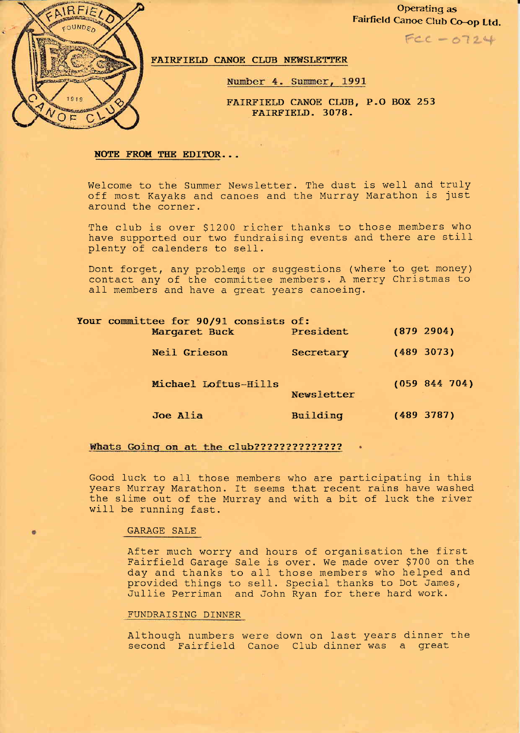

Operating as Fairfield Canoe CIub Co-op Ltd.

 $FCC - 0724$ 

FAIRFIELD CANOE CLUB NEWSLETTER

Number 4. Summer, 1991

FAIRFIELD CANOE CLUB, P.O BOX 253 FAIRFIELD. 3078.

### NOTE FROM THE EDITOR...

Welcome to the Summer Newsletter. The dust is well and truly off most Kayaks and canoes and the Murray Marathon is just around the corner.

The club is over \$1200 richer thanks to those members who have supported our two fundraising events and there are still plenty of calenders to sell.

Dont forget, any problems or suggestions (where to get money) contact any of Lhe committee members. A merry Christmas to all members and have a great years canoeing.

| Your committee for 90/91 consists of:<br>Margaret Buck | President  | (879 2904)    |
|--------------------------------------------------------|------------|---------------|
| <b>Neil Grieson</b>                                    | Secretary  | (489 3073)    |
| Michael Loftus-Hills                                   | Newsletter | (059 844 704) |
| Joe Alia                                               | Building   | (489 3787)    |

## a'l n\*;2??2?2?22a?22?

Good Iuck to a1l those members who are participating in this years Murray Marathon. It seems that recent rains have washed the slime out of the Murray and with a bit of luck the river will be running fast.

## GARAGE SALE

After much worry and hours of organisation the first Fairfield Garage SaIe is over. We made over \$700 on the day and thanks to all those members who helped and provided things to se1l. Special thanks to Dot James, Jullie Perriman and John Ryan for there hard work.

## FUNDRAISING DINNER

Although numbers were down on last years dinner the<br>second Fairfield Canoe Club dinner was a great ore down on rase joare arnner<br>Canoe Club dinner was a great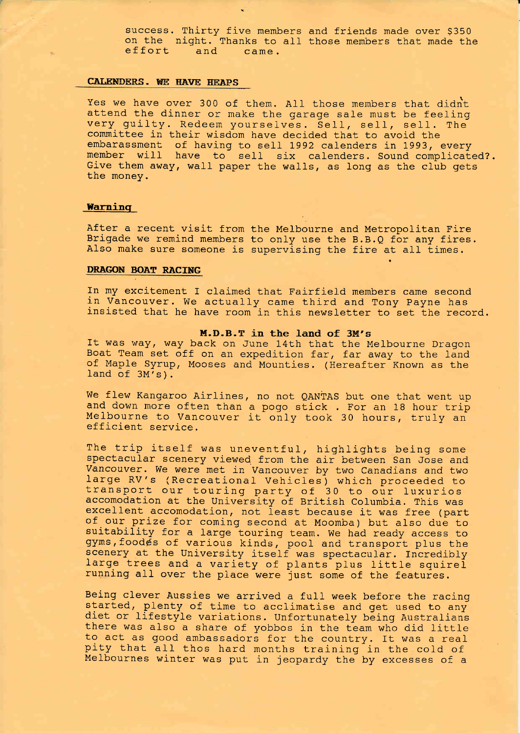success. Thirty five members success. Thirty five members and friends made over \$350<br>on the night. Thanks to all those members that made the<br>effort and came. came.

## CALENDERS. WE HAVE HEAPS

Yes we have over 300 of them. All those members that didnt<br>attend the dinner or make the garage sale must be feeling<br>very guilty. Redeem yourselves. Sell, sell, sell. The committee in their wisdom have decided that to avoid the<br>embarassment of having to sell 1992 calenders in 1993, every<br>member will have to sell six calenders. Sound complicated?.<br>Give them away, wall paper the walls, as lon

## Warning

After a recent visit from the Melbourne and Metropolitan Fire<br>Brigade we remind members to only use the B.B.Q for any fires.<br>Also make sure someone is supervising the fire at all times.

## DRAGON BOAT RACING

In my excitement f claimed that Fairfield members came second in Vancouver. We actually came third and Tony payne has insisted that he have room in this newsletter to set the record.

**M.D.B.T in the land of 3M's**<br>It was way, way back on June 14th that the Melbourne Dragon<br>Boat Team set off on an expedition far, far away to the land<br>of Maple Syrup, Mooses and Mounties. (Hereafter Known as the<br>land of 3M

We flew Kangaroo Airlines, no not QANTAS but one that went up and down more often than a pogo stick . For an 18 hour trip Melbourne to Vancouver it only took 30 hours, truly an efficient service.

The trip itself was uneventful, highlights being some spectacular scenery viewed from the air between San Jose and Vancouver. We were met in Vancouver by two Canadians and two large RV's (Recreational Vehicles) which proceeded to<br>transport our touring party of 30 to our luxurios<br>accomodation at the University of British Columbia. This was<br>excellent accomodation, not least because it was free (pa of our prize for coming second at Moomba) but also due to suitability for a large touring team. We had ready access to gyms, foodes of various kinds, pool and transport plus the scenery at the University itself was spectac large trees and a variety of plants plus little squirel<br>running all over the place were just some of the features.

Being clever Aussies we arrived a full week before the racing<br>started, plenty of time to acclimatise and get used to any<br>diet or lifestyle variations. Unfortunately being Australians<br>there was also a share of yobbos in the